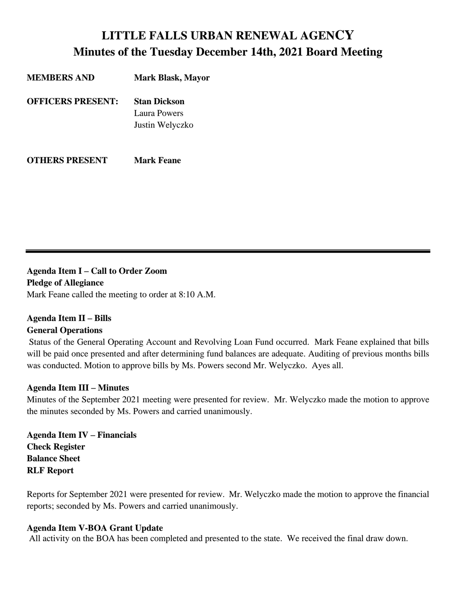# **LITTLE FALLS URBAN RENEWAL AGENCY Minutes of the Tuesday December 14th, 2021 Board Meeting**

| <b>MEMBERS AND</b>       | <b>Mark Blask, Mayor</b> |
|--------------------------|--------------------------|
| <b>OFFICERS PRESENT:</b> | <b>Stan Dickson</b>      |
|                          | Laura Powers             |
|                          | Justin Welyczko          |
|                          |                          |
|                          |                          |

**OTHERS PRESENT Mark Feane**

**Agenda Item I** *–* **Call to Order Zoom Pledge of Allegiance**

Mark Feane called the meeting to order at 8:10 A.M.

## **Agenda Item II – Bills**

## **General Operations**

Status of the General Operating Account and Revolving Loan Fund occurred. Mark Feane explained that bills will be paid once presented and after determining fund balances are adequate. Auditing of previous months bills was conducted. Motion to approve bills by Ms. Powers second Mr. Welyczko. Ayes all.

## **Agenda Item III – Minutes**

Minutes of the September 2021 meeting were presented for review. Mr. Welyczko made the motion to approve the minutes seconded by Ms. Powers and carried unanimously.

**Agenda Item IV – Financials Check Register Balance Sheet RLF Report**

Reports for September 2021 were presented for review. Mr. Welyczko made the motion to approve the financial reports; seconded by Ms. Powers and carried unanimously.

## **Agenda Item V-BOA Grant Update**

All activity on the BOA has been completed and presented to the state. We received the final draw down.